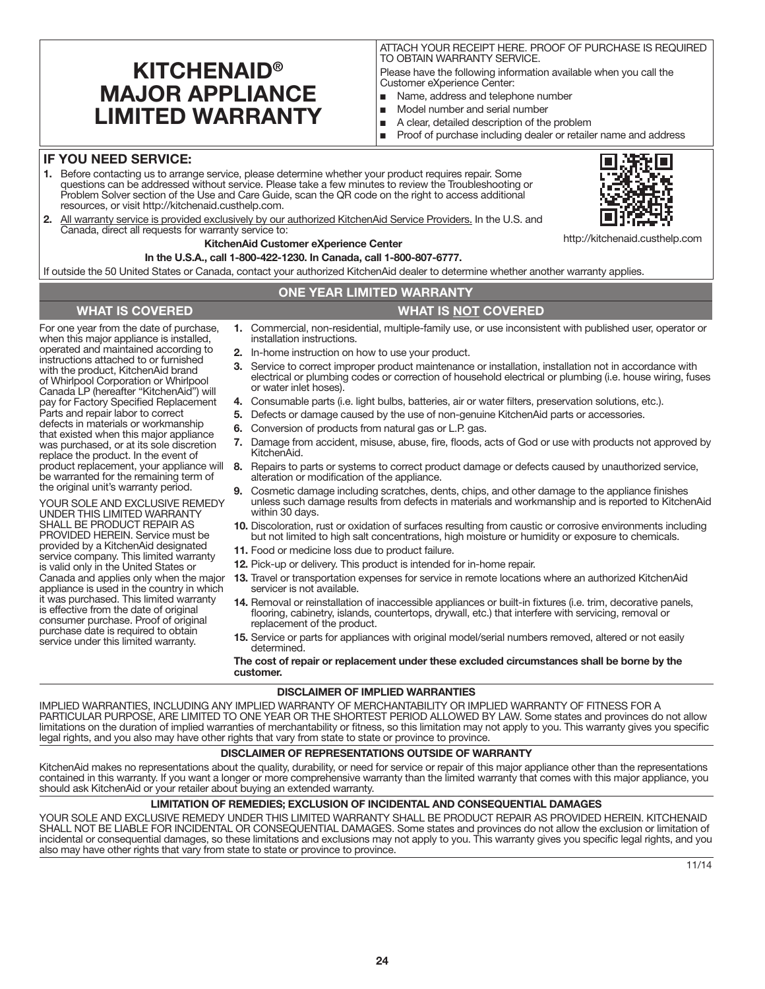# **KITCHENAID® MAJOR APPLIANCE LIMITED WARRANTY**

ATTACH YOUR RECEIPT HERE. PROOF OF PURCHASE IS REQUIRED TO OBTAIN WARRANTY SERVICE.

Please have the following information available when you call the Customer eXperience Center:

- Name, address and telephone number
- Model number and serial number
- A clear, detailed description of the problem
- Proof of purchase including dealer or retailer name and address

### **IF YOU NEED SERVICE:**

- **1.** Before contacting us to arrange service, please determine whether your product requires repair. Some questions can be addressed without service. Please take a few minutes to review the Troubleshooting or Problem Solver section of the Use and Care Guide, scan the QR code on the right to access additional resources, or visit http://kitchenaid.custhelp.com.
- **2.** All warranty service is provided exclusively by our authorized KitchenAid Service Providers. In the U.S. and Canada, direct all requests for warranty service to:

## **KitchenAid Customer eXperience Center**

**In the U.S.A., call 1-800-422-1230. In Canada, call 1-800-807-6777.**

If outside the 50 United States or Canada, contact your authorized KitchenAid dealer to determine whether another warranty applies.

## **ONE YEAR LIMITED WARRANTY**

#### **WHAT IS COVERED WHAT IS NOT COVERED**

For one year from the date of purchase, when this major appliance is installed, operated and maintained according to instructions attached to or furnished with the product, KitchenAid brand of Whirlpool Corporation or Whirlpool Canada LP (hereafter "KitchenAid") will pay for Factory Specified Replacement Parts and repair labor to correct defects in materials or workmanship that existed when this major appliance was purchased, or at its sole discretion replace the product. In the event of product replacement, your appliance will be warranted for the remaining term of the original unit's warranty period.

YOUR SOLE AND EXCLUSIVE REMEDY UNDER THIS LIMITED WARRANTY SHALL BE PRODUCT REPAIR AS PROVIDED HEREIN. Service must be provided by a KitchenAid designated service company. This limited warranty is valid only in the United States or Canada and applies only when the major appliance is used in the country in which it was purchased. This limited warranty is effective from the date of original consumer purchase. Proof of original purchase date is required to obtain service under this limited warranty.

- **1.** Commercial, non-residential, multiple-family use, or use inconsistent with published user, operator or installation instructions.
- **2.** In-home instruction on how to use your product.
- **3.** Service to correct improper product maintenance or installation, installation not in accordance with electrical or plumbing codes or correction of household electrical or plumbing (i.e. house wiring, fuses or water inlet hoses).
- **4.** Consumable parts (i.e. light bulbs, batteries, air or water filters, preservation solutions, etc.).
- **5.** Defects or damage caused by the use of non-genuine KitchenAid parts or accessories.
- **6.** Conversion of products from natural gas or L.P. gas.
- **7.** Damage from accident, misuse, abuse, fire, floods, acts of God or use with products not approved by KitchenAid.
- **8.** Repairs to parts or systems to correct product damage or defects caused by unauthorized service, alteration or modification of the appliance.
- **9.** Cosmetic damage including scratches, dents, chips, and other damage to the appliance finishes unless such damage results from defects in materials and workmanship and is reported to KitchenAid within 30 days.
- **10.** Discoloration, rust or oxidation of surfaces resulting from caustic or corrosive environments including but not limited to high salt concentrations, high moisture or humidity or exposure to chemicals.
- **11.** Food or medicine loss due to product failure.
- **12.** Pick-up or delivery. This product is intended for in-home repair.
- **13.** Travel or transportation expenses for service in remote locations where an authorized KitchenAid servicer is not available.
- **14.** Removal or reinstallation of inaccessible appliances or built-in fixtures (i.e. trim, decorative panels, flooring, cabinetry, islands, countertops, drywall, etc.) that interfere with servicing, removal or replacement of the product.
- **15.** Service or parts for appliances with original model/serial numbers removed, altered or not easily determined.

**The cost of repair or replacement under these excluded circumstances shall be borne by the customer.** 

#### **DISCLAIMER OF IMPLIED WARRANTIES**

IMPLIED WARRANTIES, INCLUDING ANY IMPLIED WARRANTY OF MERCHANTABILITY OR IMPLIED WARRANTY OF FITNESS FOR A PARTICULAR PURPOSE, ARE LIMITED TO ONE YEAR OR THE SHORTEST PERIOD ALLOWED BY LAW. Some states and provinces do not allow limitations on the duration of implied warranties of merchantability or fitness, so this limitation may not apply to you. This warranty gives you specific legal rights, and you also may have other rights that vary from state to state or province to province.

#### **DISCLAIMER OF REPRESENTATIONS OUTSIDE OF WARRANTY**

KitchenAid makes no representations about the quality, durability, or need for service or repair of this major appliance other than the representations contained in this warranty. If you want a longer or more comprehensive warranty than the limited warranty that comes with this major appliance, you should ask KitchenAid or your retailer about buying an extended warranty.

#### **LIMITATION OF REMEDIES; EXCLUSION OF INCIDENTAL AND CONSEQUENTIAL DAMAGES**

YOUR SOLE AND EXCLUSIVE REMEDY UNDER THIS LIMITED WARRANTY SHALL BE PRODUCT REPAIR AS PROVIDED HEREIN. KITCHENAID SHALL NOT BE LIABLE FOR INCIDENTAL OR CONSEQUENTIAL DAMAGES. Some states and provinces do not allow the exclusion or limitation of incidental or consequential damages, so these limitations and exclusions may not apply to you. This warranty gives you specific legal rights, and you also may have other rights that vary from state to state or province to province.



http://kitchenaid.custhelp.com